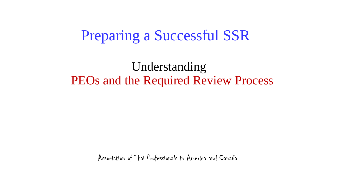# Preparing a Successful SSR

# Understanding PEOs and the Required Review Process

Association of Thai Professionals in America and Canada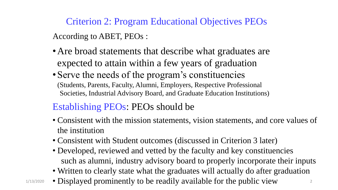Criterion 2: Program Educational Objectives PEOs According to ABET, PEOs :

- Are broad statements that describe what graduates are expected to attain within a few years of graduation
- Serve the needs of the program's constituencies (Students, Parents, Faculty, Alumni, Employers, Respective Professional Societies, Industrial Advisory Board, and Graduate Education Institutions)

## Establishing PEOs: PEOs should be

- Consistent with the mission statements, vision statements, and core values of the institution
- Consistent with Student outcomes (discussed in Criterion 3 later)
- Developed, reviewed and vetted by the faculty and key constituencies such as alumni, industry advisory board to properly incorporate their inputs
- Written to clearly state what the graduates will actually do after graduation
- $1/13/2020$  Displayed prominently to be readily available for the public view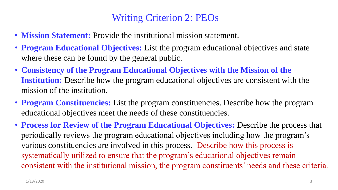## Writing Criterion 2: PEOs

- **Mission Statement:** Provide the institutional mission statement.
- **Program Educational Objectives:** List the program educational objectives and state where these can be found by the general public.
- **Consistency of the Program Educational Objectives with the Mission of the Institution:** Describe how the program educational objectives are consistent with the mission of the institution.
- **Program Constituencies:** List the program constituencies. Describe how the program educational objectives meet the needs of these constituencies.
- **Process for Review of the Program Educational Objectives:** Describe the process that periodically reviews the program educational objectives including how the program's various constituencies are involved in this process. Describe how this process is systematically utilized to ensure that the program's educational objectives remain consistent with the institutional mission, the program constituents' needs and these criteria.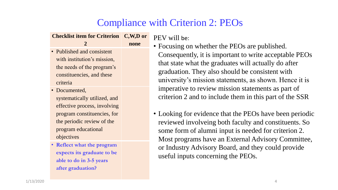## Compliance with Criterion 2: PEOs

| <b>Checklist item for Criterion C,W,D or</b> |      |
|----------------------------------------------|------|
| 2                                            | none |
| • Published and consistent                   |      |
| with institution's mission,                  |      |
| the needs of the program's                   |      |
| constituencies, and these                    |      |
| criteria                                     |      |
| • Documented,                                |      |
|                                              |      |

- systematically utilized, and effective process, involving program constituencies, for the periodic review of the program educational objectives
- **Reflect what the program expects its graduate to be able to do in 3-5 years after graduation?**

PEV will be:

• Focusing on whether the PEOs are published. Consequently, it is important to write acceptable PEOs that state what the graduates will actually do after graduation. They also should be consistent with university's mission statements, as shown. Hence it is imperative to review mission statements as part of criterion 2 and to include them in this part of the SSR

• Looking for evidence that the PEOs have been periodic reviewed involveing both faculty and constituents. So some form of alumni input is needed for criterion 2. Most programs have an External Advisory Committee, or Industry Advisory Board, and they could provide useful inputs concerning the PEOs.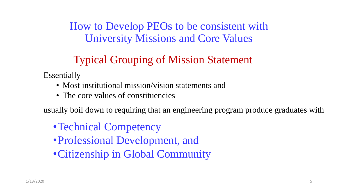How to Develop PEOs to be consistent with University Missions and Core Values

# Typical Grouping of Mission Statement

Essentially

- Most institutional mission/vision statements and
- The core values of constituencies

usually boil down to requiring that an engineering program produce graduates with

- Technical Competency
- •Professional Development, and
- •Citizenship in Global Community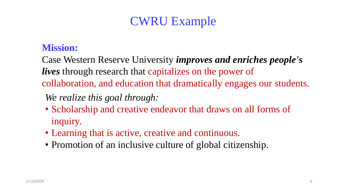# CWRU Example

### **Mission:**

Case Western Reserve University *improves and enriches people's lives* through research that capitalizes on the power of collaboration, and education that dramatically engages our students.

*We realize this goal through:*

- Scholarship and creative endeavor that draws on all forms of inquiry.
- Learning that is active, creative and continuous.
- Promotion of an inclusive culture of global citizenship.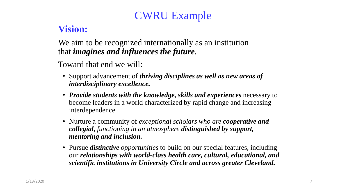# CWRU Example

## **Vision:**

We aim to be recognized internationally as an institution that *imagines and influences the future*.

Toward that end we will:

- Support advancement of *thriving disciplines as well as new areas of interdisciplinary excellence.*
- *Provide students with the knowledge, skills and experiences* necessary to become leaders in a world characterized by rapid change and increasing interdependence.
- Nurture a community of *exceptional scholars who are cooperative and collegial, functioning in an atmosphere distinguished by support, mentoring and inclusion.*
- Pursue *distinctive opportunities* to build on our special features, including our *relationships with world-class health care, cultural, educational, and scientific institutions in University Circle and across greater Cleveland.*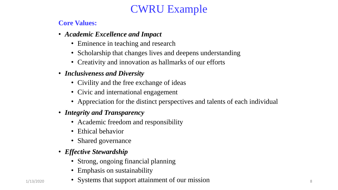## CWRU Example

#### **Core Values:**

- *Academic Excellence and Impact*
	- Eminence in teaching and research
	- Scholarship that changes lives and deepens understanding
	- Creativity and innovation as hallmarks of our efforts
- *Inclusiveness and Diversity*
	- Civility and the free exchange of ideas
	- Civic and international engagement
	- Appreciation for the distinct perspectives and talents of each individual
- *Integrity and Transparency*
	- Academic freedom and responsibility
	- Ethical behavior
	- Shared governance
- *Effective Stewardship*
	- Strong, ongoing financial planning
	- Emphasis on sustainability
- 1/13/2020 Systems that support attainment of our mission 8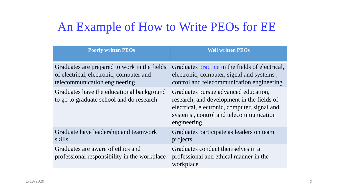# An Example of How to Write PEOs for EE

| <b>Poorly written PEOs</b>                                                                                               | <b>Well written PEOs</b>                                                                                                                                                                    |
|--------------------------------------------------------------------------------------------------------------------------|---------------------------------------------------------------------------------------------------------------------------------------------------------------------------------------------|
| Graduates are prepared to work in the fields<br>of electrical, electronic, computer and<br>telecommunication engineering | Graduates practice in the fields of electrical,<br>electronic, computer, signal and systems,<br>control and telecommunication engineering                                                   |
| Graduates have the educational background<br>to go to graduate school and do research                                    | Graduates pursue advanced education,<br>research, and development in the fields of<br>electrical, electronic, computer, signal and<br>systems, control and telecommunication<br>engineering |
| Graduate have leadership and teamwork<br>skills                                                                          | Graduates participate as leaders on team<br>projects                                                                                                                                        |
| Graduates are aware of ethics and<br>professional responsibility in the workplace                                        | Graduates conduct themselves in a<br>professional and ethical manner in the<br>workplace                                                                                                    |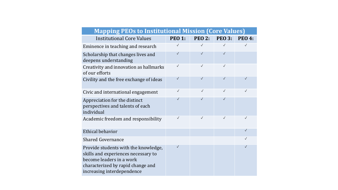| <b>Mapping PEOs to Institutional Mission (Core Values)</b>                                                                                                                 |               |               |               |               |
|----------------------------------------------------------------------------------------------------------------------------------------------------------------------------|---------------|---------------|---------------|---------------|
| <b>Institutional Core Values</b>                                                                                                                                           | <b>PEO 1:</b> | <b>PEO 2:</b> | <b>PEO 3:</b> | <b>PEO 4:</b> |
| Eminence in teaching and research                                                                                                                                          | $\checkmark$  | $\checkmark$  | $\checkmark$  | $\checkmark$  |
| Scholarship that changes lives and<br>deepens understanding                                                                                                                | $\checkmark$  | $\checkmark$  | $\sqrt{}$     |               |
| Creativity and innovation as hallmarks<br>of our efforts                                                                                                                   | $\checkmark$  | $\checkmark$  | $\checkmark$  |               |
| Civility and the free exchange of ideas                                                                                                                                    | $\checkmark$  | $\checkmark$  | $\checkmark$  | $\checkmark$  |
| Civic and international engagement                                                                                                                                         | $\checkmark$  | $\checkmark$  | $\checkmark$  | $\checkmark$  |
| Appreciation for the distinct<br>perspectives and talents of each<br>individual                                                                                            | $\checkmark$  | $\checkmark$  | $\checkmark$  |               |
| Academic freedom and responsibility                                                                                                                                        | $\checkmark$  | $\checkmark$  | $\checkmark$  | $\checkmark$  |
| Ethical behavior                                                                                                                                                           |               |               |               | $\checkmark$  |
| <b>Shared Governance</b>                                                                                                                                                   |               |               |               | $\checkmark$  |
| Provide students with the knowledge,<br>skills and experiences necessary to<br>become leaders in a work<br>characterized by rapid change and<br>increasing interdependence | $\checkmark$  |               |               | $\checkmark$  |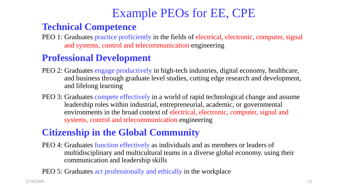# Example PEOs for EE, CPE

### **Technical Competence**

PEO 1: Graduates practice proficiently in the fields of electrical, electronic, computer, signal and systems, control and telecommunication engineering

## **Professional Development**

- PEO 2: Graduates engage productively in high-tech industries, digital economy, healthcare, and business through graduate level studies, cutting edge research and development, and lifelong learning
- PEO 3: Graduates compete effectively in a world of rapid technological change and assume leadership roles within industrial, entrepreneurial, academic, or governmental environments in the broad context of electrical, electronic, computer, signal and systems, control and telecommunication engineering

## **Citizenship in the Global Community**

- PEO 4: Graduates function effectively as individuals and as members or leaders of multidisciplinary and multicultural teams in a diverse global economy. using their communication and leadership skills
- PEO 5: Graduates act professionally and ethically in the workplace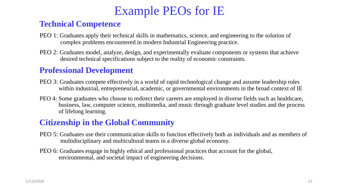# Example PEOs for IE

#### **Technical Competence**

- PEO 1: Graduates apply their technical skills in mathematics, science, and engineering to the solution of complex problems encountered in modern Industrial Engineering practice.
- PEO 2: Graduates model, analyze, design, and experimentally evaluate components or systems that achieve desired technical specifications subject to the reality of economic constraints.

#### **Professional Development**

- PEO 3: Graduates compete effectively in a world of rapid technological change and assume leadership roles within industrial, entrepreneurial, academic, or governmental environments in the broad context of IE
- PEO 4: Some graduates who choose to redirect their careers are employed in diverse fields such as healthcare, business, law, computer science, multimedia, and music through graduate level studies and the process of lifelong learning.

#### **Citizenship in the Global Community**

- PEO 5: Graduates use their communication skills to function effectively both as individuals and as members of multidisciplinary and multicultural teams in a diverse global economy.
- PEO 6: Graduates engage in highly ethical and professional practices that account for the global, environmental, and societal impact of engineering decisions.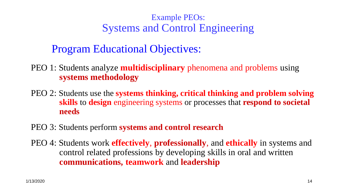## Example PEOs: Systems and Control Engineering

## Program Educational Objectives:

- PEO 1: Students analyze **multidisciplinary** phenomena and problems using **systems methodology**
- PEO 2: Students use the **systems thinking, critical thinking and problem solving skills** to **design** engineering systems or processes that **respond to societal needs**
- PEO 3: Students perform **systems and control research**
- PEO 4: Students work **effectively**, **professionally**, and **ethically** in systems and control related professions by developing skills in oral and written **communications, teamwork** and **leadership**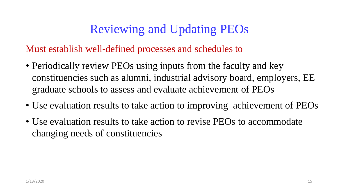Must establish well-defined processes and schedules to

- Periodically review PEOs using inputs from the faculty and key constituencies such as alumni, industrial advisory board, employers, EE graduate schools to assess and evaluate achievement of PEOs
- Use evaluation results to take action to improving achievement of PEOs
- Use evaluation results to take action to revise PEOs to accommodate changing needs of constituencies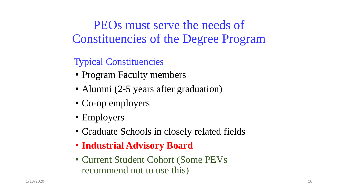PEOs must serve the needs of Constituencies of the Degree Program

## Typical Constituencies

- Program Faculty members
- Alumni (2-5 years after graduation)
- Co-op employers
- Employers
- Graduate Schools in closely related fields
- **Industrial Advisory Board**
- Current Student Cohort (Some PEVs recommend not to use this)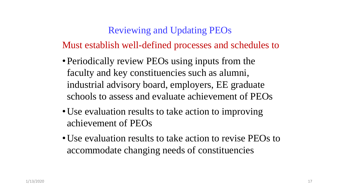Must establish well-defined processes and schedules to

- Periodically review PEOs using inputs from the faculty and key constituencies such as alumni, industrial advisory board, employers, EE graduate schools to assess and evaluate achievement of PEOs
- Use evaluation results to take action to improving achievement of PEOs
- •Use evaluation results to take action to revise PEOs to accommodate changing needs of constituencies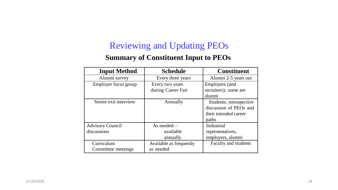#### **Summary of Constituent Input to PEOs**

| <b>Input Method</b>     | <b>Schedule</b>         | <b>Constituent</b>          |
|-------------------------|-------------------------|-----------------------------|
| Alumni survey           | Every three years       | Alumni 2-5 years out        |
| Employer focus group    | Every two years         | <b>Employers</b> (and       |
|                         | during Career Fair      | recruiters); some are       |
|                         |                         | alumni                      |
| Senior exit interview   | Annually                | Students; retrospective     |
|                         |                         | discussion of PEOs and      |
|                         |                         | their intended career       |
|                         |                         | paths                       |
| <b>Advisory Council</b> | As needed-              | Industrial                  |
| discussions             | available               | representatives,            |
|                         | annually                | employers, alumni           |
| Curriculum              | Available as frequently | <b>Faculty and students</b> |
| Committee meetings      | as needed               |                             |